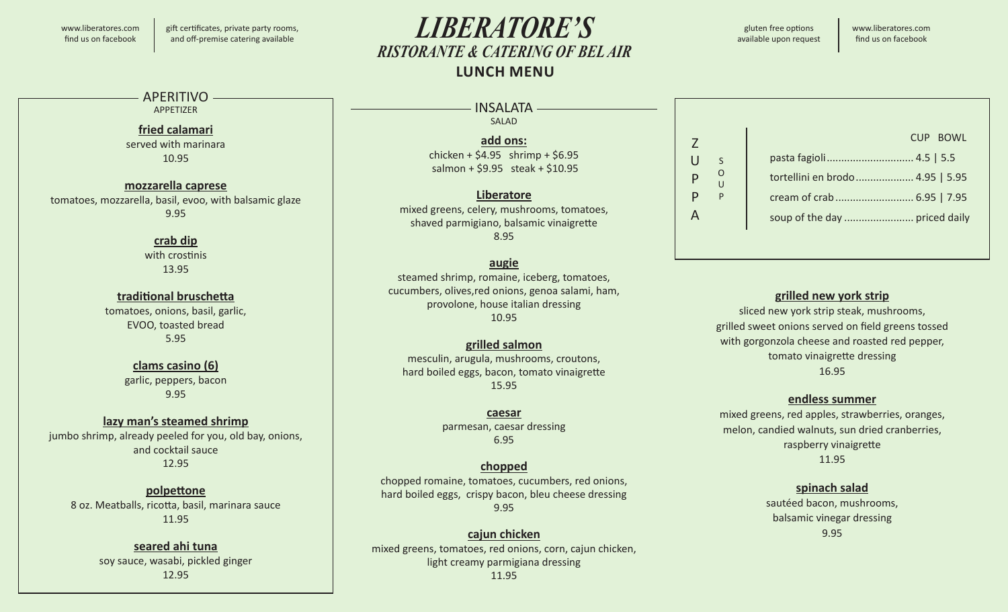#### www.liberatores.com find us on facebook

gift certificates, private party rooms, and off-premise catering available

# *LIBERATORE'S RISTORANTE & CATERING OF BEL AIR* **LUNCH MENU**

gluten free options available upon request

www.liberatores.com find us on facebook

#### APFRITIVO-

APPETIZER

#### **fried calamari** served with marinara

10.95

#### **mozzarella caprese** tomatoes, mozzarella, basil, evoo, with balsamic glaze 9.95

#### **crab dip**

with crostinis 13.95

#### **traditional bruschetta**

tomatoes, onions, basil, garlic, EVOO, toasted bread 5.95

#### **clams casino (6)** garlic, peppers, bacon 9.95

#### **lazy man's steamed shrimp**

jumbo shrimp, already peeled for you, old bay, onions, and cocktail sauce 12.95

#### **polpettone** 8 oz. Meatballs, ricotta, basil, marinara sauce 11.95

#### **seared ahi tuna** soy sauce, wasabi, pickled ginger 12.95

#### - INSALATA —————— SALAD

**add ons:** chicken +  $$4.95$  shrimp +  $$6.95$ salmon + \$9.95 steak + \$10.95

#### **Liberatore** mixed greens, celery, mushrooms, tomatoes, shaved parmigiano, balsamic vinaigrette

8.95

#### **augie**

steamed shrimp, romaine, iceberg, tomatoes, cucumbers, olives,red onions, genoa salami, ham, provolone, house italian dressing 10.95

#### **grilled salmon**

mesculin, arugula, mushrooms, croutons, hard boiled eggs, bacon, tomato vinaigrette 15.95

# **caesar**

parmesan, caesar dressing 6.95

#### **chopped**

chopped romaine, tomatoes, cucumbers, red onions, hard boiled eggs, crispy bacon, bleu cheese dressing 9.95

#### **cajun chicken**

mixed greens, tomatoes, red onions, corn, cajun chicken, light creamy parmigiana dressing 11.95

#### Z  $\cup$ P P A S O U P pasta fagioli.............................. 4.5 | 5.5 tortellini en brodo.................... 4.95 | 5.95 cream of crab........................... 6.95 | 7.95 soup of the day ........................ priced daily CUP BOWL

#### **grilled new york strip**

sliced new york strip steak, mushrooms, grilled sweet onions served on field greens tossed with gorgonzola cheese and roasted red pepper, tomato vinaigrette dressing 16.95

#### **endless summer**

mixed greens, red apples, strawberries, oranges, melon, candied walnuts, sun dried cranberries, raspberry vinaigrette 11.95

#### **spinach salad**

sautéed bacon, mushrooms, balsamic vinegar dressing 9.95